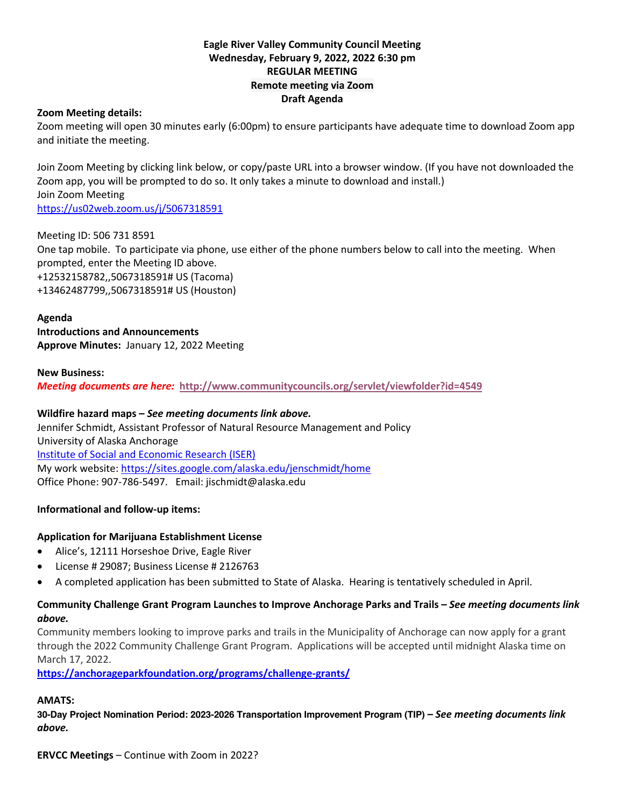## **Eagle River Valley Community Council Meeting Wednesday, February 9, 2022, 2022 6:30 pm REGULAR MEETING Remote meeting via Zoom Draft Agenda**

#### **Zoom Meeting details:**

Zoom meeting will open 30 minutes early (6:00pm) to ensure participants have adequate time to download Zoom app and initiate the meeting.

Join Zoom Meeting by clicking link below, or copy/paste URL into a browser window. (If you have not downloaded the Zoom app, you will be prompted to do so. It only takes a minute to download and install.) Join Zoom Meeting https://us02web.zoom.us/j/5067318591

Meeting ID: 506 731 8591 One tap mobile. To participate via phone, use either of the phone numbers below to call into the meeting. When prompted, enter the Meeting ID above. +12532158782,,5067318591# US (Tacoma) +13462487799,,5067318591# US (Houston)

**Agenda Introductions and Announcements Approve Minutes:** January 12, 2022 Meeting

#### **New Business:** *Meeting documents are here:* **http://www.communitycouncils.org/servlet/viewfolder?id=4549**

**Wildfire hazard maps –** *See meeting documents link above.* Jennifer Schmidt, Assistant Professor of Natural Resource Management and Policy University of Alaska Anchorage Institute of Social and Economic Research (ISER) My work website: https://sites.google.com/alaska.edu/jenschmidt/home Office Phone: 907-786-5497. Email: jischmidt@alaska.edu

# **Informational and follow-up items:**

#### **Application for Marijuana Establishment License**

- Alice's, 12111 Horseshoe Drive, Eagle River
- License # 29087; Business License # 2126763
- A completed application has been submitted to State of Alaska. Hearing is tentatively scheduled in April.

## **Community Challenge Grant Program Launches to Improve Anchorage Parks and Trails –** *See meeting documents link above.*

Community members looking to improve parks and trails in the Municipality of Anchorage can now apply for a grant through the 2022 Community Challenge Grant Program. Applications will be accepted until midnight Alaska time on March 17, 2022.

**https://anchorageparkfoundation.org/programs/challenge-grants/**

# **AMATS:**

**30-Day Project Nomination Period: 2023-2026 Transportation Improvement Program (TIP) –** *See meeting documents link above.*